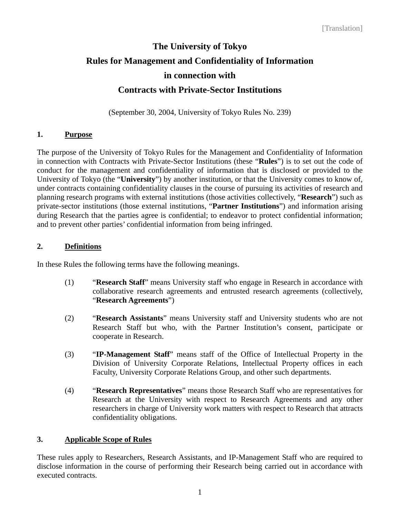# **The University of Tokyo Rules for Management and Confidentiality of Information in connection with Contracts with Private-Sector Institutions**

(September 30, 2004, University of Tokyo Rules No. 239)

# **1. Purpose**

The purpose of the University of Tokyo Rules for the Management and Confidentiality of Information in connection with Contracts with Private-Sector Institutions (these "**Rules**") is to set out the code of conduct for the management and confidentiality of information that is disclosed or provided to the University of Tokyo (the "**University**") by another institution, or that the University comes to know of, under contracts containing confidentiality clauses in the course of pursuing its activities of research and planning research programs with external institutions (those activities collectively, "**Research**") such as private-sector institutions (those external institutions, "**Partner Institutions**") and information arising during Research that the parties agree is confidential; to endeavor to protect confidential information; and to prevent other parties' confidential information from being infringed.

# **2. Definitions**

In these Rules the following terms have the following meanings.

- (1) "**Research Staff**" means University staff who engage in Research in accordance with collaborative research agreements and entrusted research agreements (collectively, "**Research Agreements**")
- (2) "**Research Assistants**" means University staff and University students who are not Research Staff but who, with the Partner Institution's consent, participate or cooperate in Research.
- (3) "**IP-Management Staff**" means staff of the Office of Intellectual Property in the Division of University Corporate Relations, Intellectual Property offices in each Faculty, University Corporate Relations Group, and other such departments.
- (4) "**Research Representatives**" means those Research Staff who are representatives for Research at the University with respect to Research Agreements and any other researchers in charge of University work matters with respect to Research that attracts confidentiality obligations.

# **3. Applicable Scope of Rules**

These rules apply to Researchers, Research Assistants, and IP-Management Staff who are required to disclose information in the course of performing their Research being carried out in accordance with executed contracts.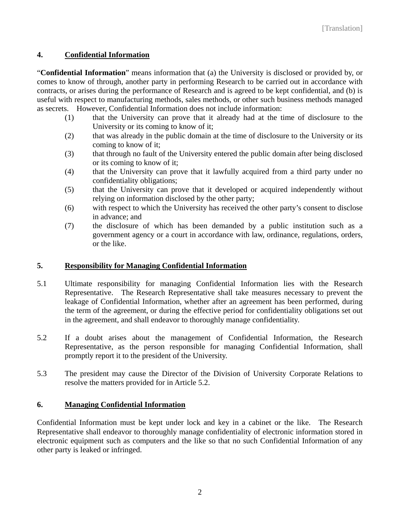# **4. Confidential Information**

"**Confidential Information**" means information that (a) the University is disclosed or provided by, or comes to know of through, another party in performing Research to be carried out in accordance with contracts, or arises during the performance of Research and is agreed to be kept confidential, and (b) is useful with respect to manufacturing methods, sales methods, or other such business methods managed as secrets. However, Confidential Information does not include information:

- (1) that the University can prove that it already had at the time of disclosure to the University or its coming to know of it;
- (2) that was already in the public domain at the time of disclosure to the University or its coming to know of it;
- (3) that through no fault of the University entered the public domain after being disclosed or its coming to know of it;
- (4) that the University can prove that it lawfully acquired from a third party under no confidentiality obligations;
- (5) that the University can prove that it developed or acquired independently without relying on information disclosed by the other party;
- (6) with respect to which the University has received the other party's consent to disclose in advance; and
- (7) the disclosure of which has been demanded by a public institution such as a government agency or a court in accordance with law, ordinance, regulations, orders, or the like.

#### **5. Responsibility for Managing Confidential Information**

- 5.1 Ultimate responsibility for managing Confidential Information lies with the Research Representative. The Research Representative shall take measures necessary to prevent the leakage of Confidential Information, whether after an agreement has been performed, during the term of the agreement, or during the effective period for confidentiality obligations set out in the agreement, and shall endeavor to thoroughly manage confidentiality.
- 5.2 If a doubt arises about the management of Confidential Information, the Research Representative, as the person responsible for managing Confidential Information, shall promptly report it to the president of the University.
- 5.3 The president may cause the Director of the Division of University Corporate Relations to resolve the matters provided for in Article 5.2.

#### **6. Managing Confidential Information**

Confidential Information must be kept under lock and key in a cabinet or the like. The Research Representative shall endeavor to thoroughly manage confidentiality of electronic information stored in electronic equipment such as computers and the like so that no such Confidential Information of any other party is leaked or infringed.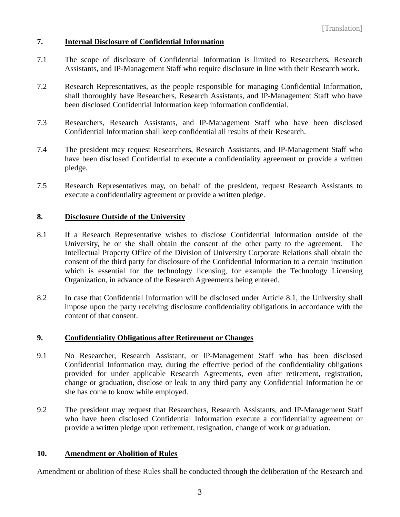#### **7. Internal Disclosure of Confidential Information**

- 7.1 The scope of disclosure of Confidential Information is limited to Researchers, Research Assistants, and IP-Management Staff who require disclosure in line with their Research work.
- 7.2 Research Representatives, as the people responsible for managing Confidential Information, shall thoroughly have Researchers, Research Assistants, and IP-Management Staff who have been disclosed Confidential Information keep information confidential.
- 7.3 Researchers, Research Assistants, and IP-Management Staff who have been disclosed Confidential Information shall keep confidential all results of their Research.
- 7.4 The president may request Researchers, Research Assistants, and IP-Management Staff who have been disclosed Confidential to execute a confidentiality agreement or provide a written pledge.
- 7.5 Research Representatives may, on behalf of the president, request Research Assistants to execute a confidentiality agreement or provide a written pledge.

#### **8. Disclosure Outside of the University**

- 8.1 If a Research Representative wishes to disclose Confidential Information outside of the University, he or she shall obtain the consent of the other party to the agreement. The Intellectual Property Office of the Division of University Corporate Relations shall obtain the consent of the third party for disclosure of the Confidential Information to a certain institution which is essential for the technology licensing, for example the Technology Licensing Organization, in advance of the Research Agreements being entered.
- 8.2 In case that Confidential Information will be disclosed under Article 8.1, the University shall impose upon the party receiving disclosure confidentiality obligations in accordance with the content of that consent.

#### **9. Confidentiality Obligations after Retirement or Changes**

- 9.1 No Researcher, Research Assistant, or IP-Management Staff who has been disclosed Confidential Information may, during the effective period of the confidentiality obligations provided for under applicable Research Agreements, even after retirement, registration, change or graduation, disclose or leak to any third party any Confidential Information he or she has come to know while employed.
- 9.2 The president may request that Researchers, Research Assistants, and IP-Management Staff who have been disclosed Confidential Information execute a confidentiality agreement or provide a written pledge upon retirement, resignation, change of work or graduation.

#### **10. Amendment or Abolition of Rules**

Amendment or abolition of these Rules shall be conducted through the deliberation of the Research and